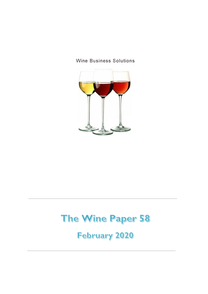



## The Wine Paper 58

February 2020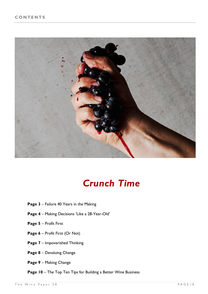

## *Crunch Time*

- **Page 3**  Failure 40 Years in the Making
- **Page 4** Making Decisions 'Like a 28-Year-Old'
- **Page 5** Profit First
- **Page 6** Profit First (Or Not)
- **Page 7** Impoverished Thinking
- **Page 8** Devaluing Change
- **Page 9** Making Change
- **Page 10** The Top Ten Tips for Building a Better Wine Business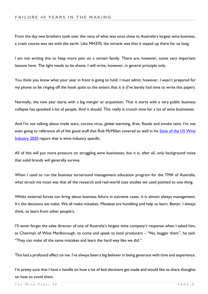From the day two brothers took over the reins of what was once close to Australia's largest wine business, a crash course was set with the earth. Like MH370, the miracle was that it stayed up there for so long.

I am not writing this to heap more pain on a certain family. There are, however, some very important lessons here. The light needs to be shone. I will write, however, in general principle only.

You think you know what your year in front is going to hold. I must admit, however, I wasn't prepared for my phone to be ringing off the hook quite to the extent that it is (I've barely had time to write this paper).

Normally, the new year starts with a big merger or acquisition. That it starts with a very public business collapse has spooked a lot of people. And it should. This really is crunch time for a lot of wine businesses.

And I'm not talking about trade wars, corona virus, global warming, fires, floods and smoke taint. I'm not even going to reference all of the good stuff that Rob McMillan covered so well in his **State of the US Wine** [Industry 2020](https://www.svb.com/globalassets/library/uploadedfiles/reports/svb-2020-state-of-the-wine-industry-report-final.pdf) report that is wine industry specific.

All of this will put more pressure on struggling wine businesses, but it is, after all, only background noise that solid brands will generally survive.

When I used to run the business turnaround management education program for the TMA of Australia, what struck me most was that all the research and real-world case studies we used pointed to one thing.

Whilst external forces can bring about business failure in extreme cases, it is almost always management. It's the decisions we make. We all make mistakes. Mistakes are humbling and help us learn. Better, I always think, to learn from other people's.

I'll never forget the sales director of one of Australia's largest wine company's response when I asked him, as Chairman of Wine Marlborough, to come and speak to local producers – "No, bugger them". he said. "They can make all the same mistakes and learn the hard way like we did."

This had a profound effect on me. I've always been a big believer in being generous with time and experience.

I'm pretty sure that I have a handle on how a lot of bad decisions get made and would like to share thoughts on how to avoid them.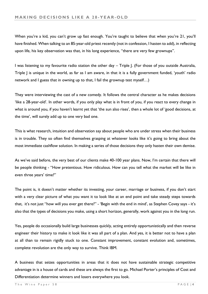When you're a kid, you can't grow up fast enough. You're taught to believe that when you're 21, you'll have finished. When talking to an 85-year-old priest recently (not in confession, I hasten to add), in reflecting upon life, his key observation was that, in his long experience, "there are very few grownups".

I was listening to my favourite radio station the other day – Triple J. (For those of you outside Australia, Triple J is unique in the world, as far as I am aware, in that it is a fully government funded, 'youth' radio network and I guess that in owning up to that, I fail the grownup test myself…)

They were interviewing the cast of a new comedy. It follows the central character as he makes decisions 'like a 28-year-old'. In other words, if you only play what is in front of you, if you react to every change in what is around you, if you haven't learnt yet that 'the sun also rises', then a whole lot of 'good decisions, at the time', will surely add up to one very bad one.

This is what research, intuition and observation say about people who are under stress when their business is in trouble. They so often find themselves grasping at whatever looks like it's going to bring about the most immediate cashflow solution. In making a series of those decisions they only hasten their own demise.

As we've said before, the very best of our clients make 40-100 year plans. Now, I'm certain that there will be people thinking - "How pretentious. How ridiculous. How can you tell what the market will be like in even three years' time?"

The point is, it doesn't matter whether its investing, your career, marriage or business, if you don't start with a very clear picture of what you want it to look like at an end point and take steady steps towards that, it's not just "how will you ever get there?" - 'Begin with the end in mind', as Stephen Covey says - it's also that the types of decisions you make, using a short horizon, generally, work against you in the long run.

Yes, people do occasionally build large businesses quickly, acting entirely opportunistically and then reverse engineer their history to make it look like it was all part of a plan. And yes, it is better not to have a plan at all than to remain rigidly stuck to one. Constant improvement, constant evolution and, sometimes, complete revolution are the only way to survive. Think IBM.

A business that seizes opportunities in areas that it does not have sustainable strategic competitive advantage in is a house of cards and these are always the first to go. Michael Porter's principles of Cost and Differentiation determine winners and losers everywhere you look.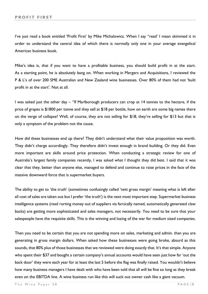I've just read a book entitled 'Profit First' by Mike Michalowicz. When I say "read' I mean skimmed it in order to understand the central idea of which there is normally only one in your average evangelical American business book.

Mike's idea is, that if you want to have a profitable business, you should build profit in at the start. As a starting point, he is absolutely bang on. When working in Mergers and Acquisitions, I reviewed the P & L's of over 200 SME Australian and New Zealand wine businesses. Over 80% of them had not 'built profit in at the start'. Not at all.

I was asked just the other day – "If Marlborough producers can crop at 14 tonnes to the hectare, if the price of grapes is \$1800 per tonne and they sell at \$18 per bottle, how on earth are some big names there on the verge of collapse? Well, of course, they are not selling for \$18, they're selling for \$13 but that is only a symptom of the problem not the cause.

How did these businesses end up there? They didn't understand what their value proposition was worth. They didn't charge accordingly. They therefore didn't invest enough in brand building. Or they did. Even more important are skills around price protection. When conducting a strategic review for one of Australia's largest family companies recently, I was asked what I thought they did best. I said that it was clear that they, better than anyone else, managed to defend and continue to raise prices in the face of the massive downward force that is supermarket buyers.

The ability to get to 'the truth' (sometimes confusingly called 'nett gross margin' meaning what is left after all cost of sales are taken out but I prefer 'the truth') is the next most important step. Supermarket business intelligence systems (read rorting money out of suppliers via farcically named, automatically generated claw backs) are getting more sophisticated and sales managers, not necessarily. You need to be sure that your salespeople have the requisite skills. This is the winning and losing of the war for medium sized companies.

Then you need to be certain that you are not spending more on sales, marketing and admin. than you are generating in gross margin dollars. When asked how these businesses were going broke, absurd as this sounds, that 80% plus of those businesses that we reviewed were doing exactly that. It's that simple. Anyone who spent their \$37 and bought a certain company's annual accounts would have seen just how far 'out the back door' they were each year for at least the last 5 before the flag was finally raised. You wouldn't believe how many business managers I have dealt with who have been told that all will be fine so long as they break even on the EBITDA line. A wine business run like this will suck out owner cash like a giant vacuum.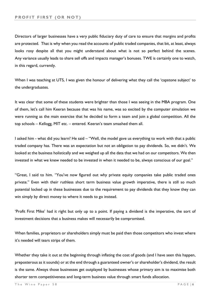Directors of larger businesses have a very public fiduciary duty of care to ensure that margins and profits are protected. That is why when you read the accounts of public traded companies, that bit, at least, always looks rosy despite all that you might understand about what is not so perfect behind the scenes. Any variance usually leads to share sell offs and impacts manager's bonuses. TWE is certainly one to watch, in this regard, currently.

When I was teaching at UTS, I was given the honour of delivering what they call the 'capstone subject' to the undergraduates.

It was clear that some of these students were brighter than those I was seeing in the MBA program. One of them, let's call him Keeran because that was his name, was so excited by the computer simulation we were running as the main exercise that he decided to form a team and join a global competition. All the top schools – Kellogg, MIT etc. – entered. Keeran's team smashed them all.

I asked him - what did you learn? He said – "Well, the model gave us everything to work with that a public traded company has. There was an expectation but not an obligation to pay dividends. So, we didn't. We looked at the business holistically and we weighed up all the data that we had on our competitors. We then invested in what we knew needed to be invested in when it needed to be, always conscious of our goal."

"Great, I said to him. "You've now figured out why private equity companies take public traded ones private." Even with their ruthless short term business value growth imperative, there is still so much potential locked up in these businesses due to the requirement to pay dividends that they know they can win simply by direct money to where it needs to go instead.

'Profit First Mike' had it right but only up to a point. If paying a dividend is the imperative, the sort of investment decisions that a business makes will necessarily be compromised.

When families, proprietors or shareholders simply must be paid then those competitors who invest where it's needed will tears strips of them.

Whether they take it out at the beginning through inflating the cost of goods (and I have seen this happen, preposterous as it sounds) or at the end through a guaranteed owner's or shareholder's dividend, the result is the same. Always those businesses get outplayed by businesses whose primary aim is to maximise both shorter term competitiveness and long-term business value through smart funds allocation.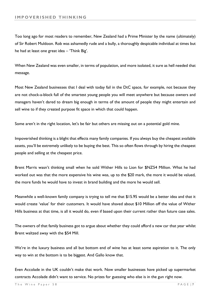Too long ago for most readers to remember, New Zealand had a Prime Minister by the name (ultimately) of Sir Robert Muldoon. Rob was ashamedly rude and a bully, a thoroughly despicable individual at times but he had at least one great idea – 'Think Big'.

When New Zealand was even smaller, in terms of population, and more isolated, it sure as hell needed that message.

Most New Zealand businesses that I deal with today fail in the DtC space, for example, not because they are not chock-a-block full of the smartest young people you will meet anywhere but because owners and managers haven't dared to dream big enough in terms of the amount of people they might entertain and sell wine to if they created purpose fit space in which that could happen.

Some aren't in the right location, let's be fair but others are missing out on a potential gold mine.

Impoverished thinking is a blight that effects many family companies. If you always buy the cheapest available assets, you'll be extremely unlikely to be buying the best. This so often flows through by hiring the cheapest people and selling at the cheapest price.

Brent Marris wasn't thinking small when he sold Wither Hills to Lion for \$NZ54 Million. What he had worked out was that the more expensive his wine was, up to the \$20 mark, the more it would be valued, the more funds he would have to invest in brand building and the more he would sell.

Meanwhile a well-known family company is trying to tell me that \$15.95 would be a better idea and that it would create 'value' for their customers. It would have shaved about \$10 Million off the value of Wither Hills business at that time, is all it would do, even if based upon their current rather than future case sales.

The owners of that family business got to argue about whether they could afford a new car that year whilst Brent waltzed away with the \$54 Mill.

We're in the luxury business and all but bottom end of wine has at least some aspiration to it. The only way to win at the bottom is to be biggest. And Gallo know that.

Even Accolade in the UK couldn't make that work. Now smaller businesses have picked up supermarket contracts Accolade didn't want to service. No prizes for guessing who else is in the gun right now.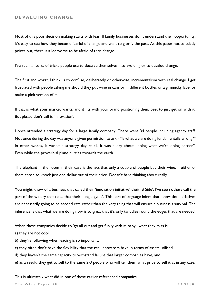Most of this poor decision making starts with fear. If family businesses don't understand their opportunity, it's easy to see how they become fearful of change and want to glorify the past. As this paper not so subtly points out, there is a lot worse to be afraid of than change.

I've seen all sorts of tricks people use to deceive themselves into avoiding or to devalue change.

The first and worst, I think, is to confuse, deliberately or otherwise, incrementalism with real change. I get frustrated with people asking me should they put wine in cans or in different bottles or a gimmicky label or make a pink version of it...

If that is what your market wants, and it fits with your brand positioning then, best to just get on with it. But please don't call it 'innovation'.

I once attended a strategy day for a large family company. There were 34 people including agency staff. Not once during the day was anyone given permission to ask - "Is what we are doing fundamentally wrong?" In other words, it wasn't a strategy day at all. It was a day about "doing what we're doing harder". Even while the proverbial plane hurtles towards the earth.

The elephant in the room in their case is the fact that only a couple of people buy their wine. If either of them chose to knock just one dollar out of their price. Doesn't bare thinking about really…

You might know of a business that called their 'innovation initiative' their 'B Side'. I've seen others call the part of the winery that does that their 'jungle gyms'. This sort of language infers that innovation initiatives are necessarily going to be second rate rather than the very thing that will ensure a business's survival. The inference is that what we are doing now is so great that it's only twiddles round the edges that are needed.

When these companies decide to 'go all out and get funky with it, baby', what they miss is;

a) they are not cool,

b) they're following when leading is so important,

c) they often don't have the flexibility that the real innovators have in terms of assets utilised,

d) they haven't the same capacity to withstand failure that larger companies have, and

e) as a result, they get to sell to the same 2-3 people who will tell them what price to sell it at in any case.

This is ultimately what did in one of these earlier referenced companies.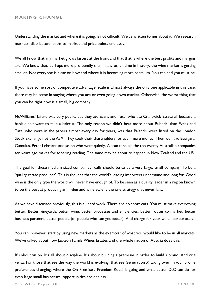Understanding the market and where it is going, is not difficult. We've written tomes about it. We research markets, distributors, paths to market and price points endlessly.

We all know that any market grows fastest at the front and that that is where the best profits and margins are. We know that, perhaps more profoundly than in any other time in history, the wine market is getting smaller. Not everyone is clear on how and where it is becoming more premium. You can and you must be.

If you have some sort of competitive advantage, scale is almost always the only one applicable in this case, there may be sense in staying where you are or even going down market. Otherwise, the worst thing that you can be right now is a small, big company.

McWilliams' failure was very public, but they ate Evans and Tate, who ate Cranswick Estate all because a bank didn't want to take a haircut. The only reason we didn't hear more about Palandri than Evans and Tate, who were in the papers almost every day for years, was that Palandri were listed on the London Stock Exchange not the ASX. They took their shareholders for even more money. Then we have Beelgara, Cumulus, Peter Lehmann and so on who went quietly. A scan through the top twenty Australian companies ten years ago makes for sobering reading. The same may be about to happen in New Zealand and the US.

The goal for these medium sized companies really should be to be a very large, small company. To be a 'quality estate producer'. This is the idea that the world's leading importers understand and long for. Good wine is the only type the world will never have enough of. To be seen as a quality leader in a region known to be the best at producing an in-demand wine style is the one strategy that never fails.

As we have discussed previously, this is all hard work. There are no short cuts. You must make everything better. Better vineyards, better wine, better processes and efficiencies, better routes to market, better business partners, better people (or people who can get better). And charge for your wine appropriately.

You can, however, start by using new markets as the exemplar of what you would like to be in all markets. We've talked about how Jackson Family Wines Estates and the whole nation of Austria does this.

It's about vision. It's all about discipline. It's about building a premium in order to build a brand. And vice versa. For those that see the way the world is evolving, that see Generation X taking over, flavour profile preferences changing, where the On-Premise / Premium Retail is going and what better DtC can do for even large small businesses, opportunities are endless.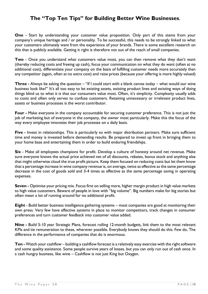## **The "Top Ten Tips" for Building Better Wine Businesses**.

**One** - Start by understanding your customer value proposition. Only part of this stems from your company's unique heritage and / or personality. To be successful, this needs to be strongly linked to what your customers ultimately want from the experience of your brands. There is some excellent research on this that is publicly available. Getting it right is therefore not out of the reach of small companies.

**Two** - Once you understand what customers value most, you can then remove what they don't want (thereby reducing costs and freeing up cash), focus your communication on what they do want (often at no additional cost), differentiate your company on the basis of fulfilling customer needs more accurately than any competitor (again, often at no extra cost) and raise prices (because your offering is more highly valued)

**Three -** Always be asking the question – "If I could start with a blank canvas today – what would our wine business look like?" It's all too easy to let existing assets, existing product lines and existing ways of doing things blind us to what it is that our consumers value most. Often, it's simplicity. Complexity usually adds to costs and often only serves to confuse customers. Retaining unnecessary or irrelevant product lines, assets or business processes is the worst contributor.

**Four -** Make everyone in the company accountable for securing customer preference. This is not just the job of marketing but of everyone in the company, the owner most particularly. Make this the focus of the way every employee innovates their job processes on a daily basis.

**Five -** Invest in relationships. This is particularly so with major distribution partners. Make sure sufficient time and money is invested before demanding results. Be prepared to invest up front in bringing them to your home base and entertaining them in order to build enduring friendships.

**Six** - Make all employees champions for profit. Develop a culture of honesty around net revenue. Make sure everyone knows the actual price achieved net of all discounts, rebates, bonus stock and anything else that might otherwise cloud the true profit picture. Keep them focused on reducing costs but let them know that a percentage increase in wine company revenue is, on average, twice as effective as the same percentage decrease in the cost of goods sold and 3-4 times as effective as the same percentage saving in operating expenses.

**Seven -** Optimise your pricing mix. Focus first on selling more, higher margin product in high value markets to high value customers. Beware of people in love with "big volume". Big numbers make for big stories but often mean a lot of running around for no additional profit.

**Eight** - Build better business intelligence gathering systems – most companies are good at monitoring their own press. Very few have effective systems in place to monitor competitors, track changes in consumer preferences and turn customer feedback into customer value added.

**Nine -** Build 5-10 year Strategic Plans, forecast rolling 12-month budgets, link them to the most relevant KPIs and tie remuneration to these, wherever possible. Everybody knows they should do this. Few do. The difference in the performance of companies that do is enormous.

**Ten -** Watch your cashflow – building a cashflow forecast is a relatively easy exercise with the right software and some quality assistance. Some people survive years of losses, but you can only run out of cash once. In a cash hungry business, like wine – Cashflow is not just King but Oxygen.